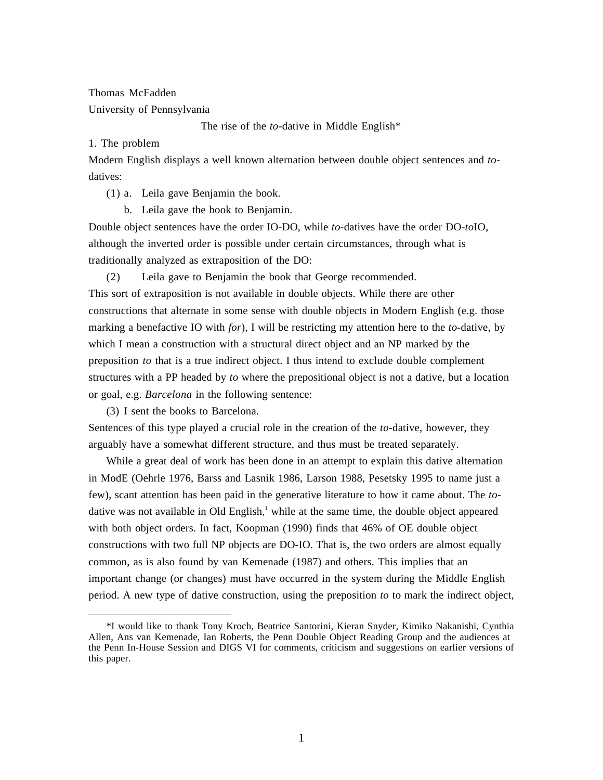Thomas McFadden University of Pennsylvania

The rise of the *to*-dative in Middle English\*

1. The problem

Modern English displays a well known alternation between double object sentences and *to*datives:

(1) a. Leila gave Benjamin the book.

b. Leila gave the book to Benjamin.

Double object sentences have the order IO-DO, while *to-*datives have the order DO-*to*IO, although the inverted order is possible under certain circumstances, through what is traditionally analyzed as extraposition of the DO:

(2) Leila gave to Benjamin the book that George recommended.

This sort of extraposition is not available in double objects. While there are other constructions that alternate in some sense with double objects in Modern English (e.g. those marking a benefactive IO with *for*), I will be restricting my attention here to the *to-*dative, by which I mean a construction with a structural direct object and an NP marked by the preposition *to* that is a true indirect object. I thus intend to exclude double complement structures with a PP headed by *to* where the prepositional object is not a dative, but a location or goal, e.g. *Barcelona* in the following sentence:

(3) I sent the books to Barcelona.

Sentences of this type played a crucial role in the creation of the *to-*dative, however, they arguably have a somewhat different structure, and thus must be treated separately.

While a great deal of work has been done in an attempt to explain this dative alternation in ModE (Oehrle 1976, Barss and Lasnik 1986, Larson 1988, Pesetsky 1995 to name just a few), scant attention has been paid in the generative literature to how it came about. The *to*dative was not available in Old English,<sup>1</sup> while at the same time, the double object appeared with both object orders. In fact, Koopman (1990) finds that 46% of OE double object constructions with two full NP objects are DO-IO. That is, the two orders are almost equally common, as is also found by van Kemenade (1987) and others. This implies that an important change (or changes) must have occurred in the system during the Middle English period. A new type of dative construction, using the preposition *to* to mark the indirect object,

<sup>\*</sup>I would like to thank Tony Kroch, Beatrice Santorini, Kieran Snyder, Kimiko Nakanishi, Cynthia Allen, Ans van Kemenade, Ian Roberts, the Penn Double Object Reading Group and the audiences at the Penn In-House Session and DIGS VI for comments, criticism and suggestions on earlier versions of this paper.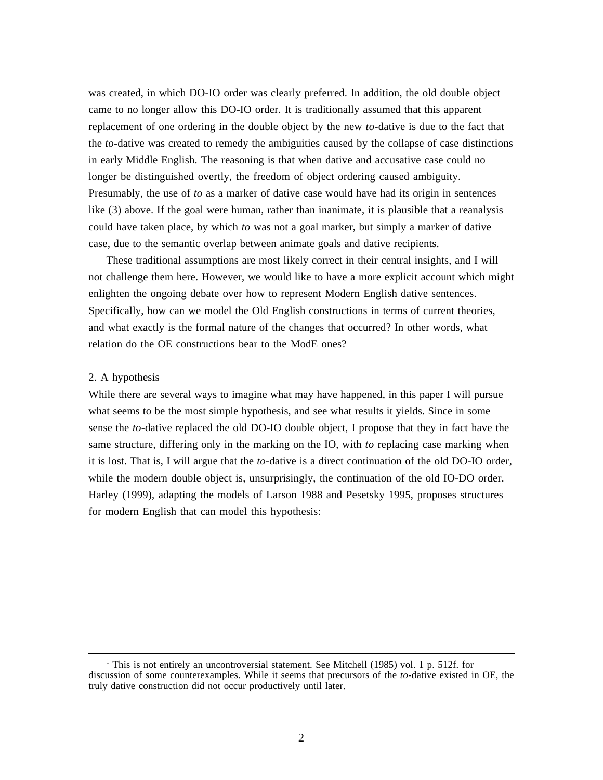was created, in which DO-IO order was clearly preferred. In addition, the old double object came to no longer allow this DO-IO order. It is traditionally assumed that this apparent replacement of one ordering in the double object by the new *to-*dative is due to the fact that the *to-*dative was created to remedy the ambiguities caused by the collapse of case distinctions in early Middle English. The reasoning is that when dative and accusative case could no longer be distinguished overtly, the freedom of object ordering caused ambiguity. Presumably, the use of *to* as a marker of dative case would have had its origin in sentences like (3) above. If the goal were human, rather than inanimate, it is plausible that a reanalysis could have taken place, by which *to* was not a goal marker, but simply a marker of dative case, due to the semantic overlap between animate goals and dative recipients.

These traditional assumptions are most likely correct in their central insights, and I will not challenge them here. However, we would like to have a more explicit account which might enlighten the ongoing debate over how to represent Modern English dative sentences. Specifically, how can we model the Old English constructions in terms of current theories, and what exactly is the formal nature of the changes that occurred? In other words, what relation do the OE constructions bear to the ModE ones?

# 2. A hypothesis

 $\overline{a}$ 

While there are several ways to imagine what may have happened, in this paper I will pursue what seems to be the most simple hypothesis, and see what results it yields. Since in some sense the *to-*dative replaced the old DO-IO double object, I propose that they in fact have the same structure, differing only in the marking on the IO, with *to* replacing case marking when it is lost. That is, I will argue that the *to-*dative is a direct continuation of the old DO-IO order, while the modern double object is, unsurprisingly, the continuation of the old IO-DO order. Harley (1999), adapting the models of Larson 1988 and Pesetsky 1995, proposes structures for modern English that can model this hypothesis:

<sup>&</sup>lt;sup>1</sup> This is not entirely an uncontroversial statement. See Mitchell (1985) vol. 1 p. 512f. for discussion of some counterexamples. While it seems that precursors of the *to*-dative existed in OE, the truly dative construction did not occur productively until later.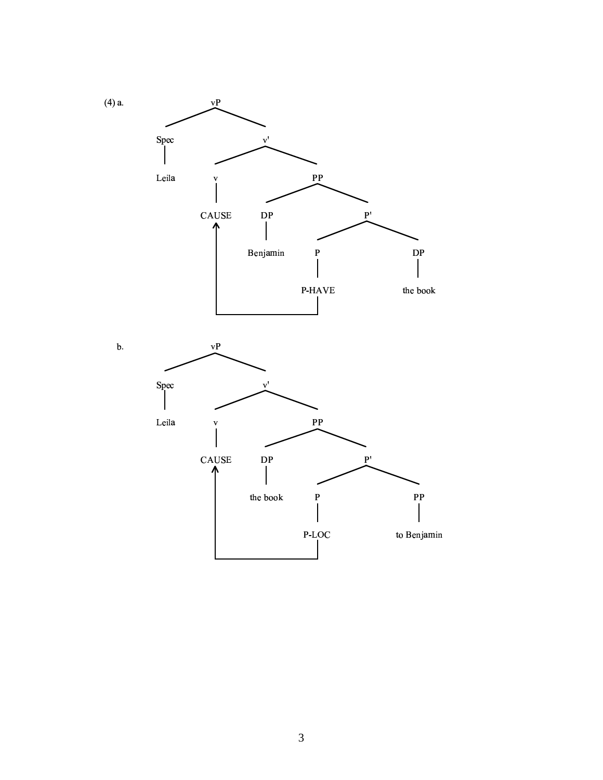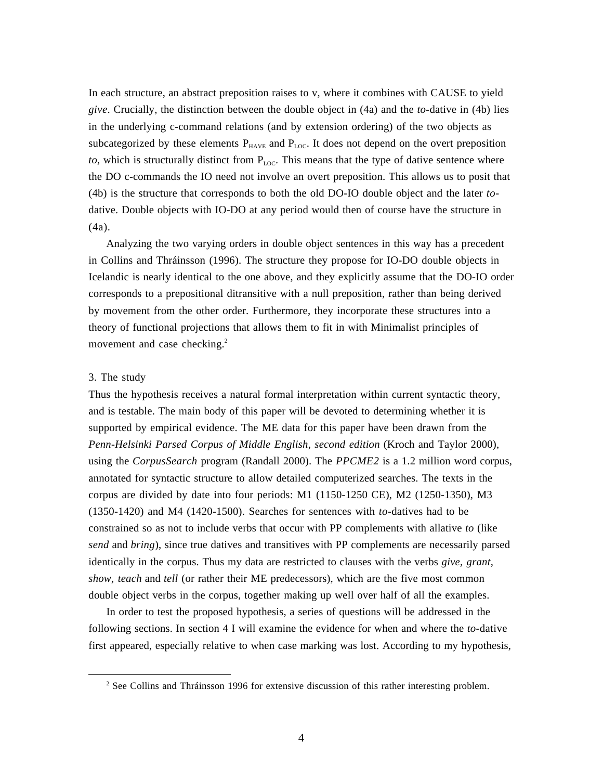In each structure, an abstract preposition raises to v, where it combines with CAUSE to yield *give*. Crucially, the distinction between the double object in (4a) and the *to*-dative in (4b) lies in the underlying c-command relations (and by extension ordering) of the two objects as subcategorized by these elements  $P_{HAVE}$  and  $P_{LOC}$ . It does not depend on the overt preposition *to*, which is structurally distinct from  $P_{\text{LOC}}$ . This means that the type of dative sentence where the DO c-commands the IO need not involve an overt preposition. This allows us to posit that (4b) is the structure that corresponds to both the old DO-IO double object and the later *to*dative. Double objects with IO-DO at any period would then of course have the structure in (4a).

Analyzing the two varying orders in double object sentences in this way has a precedent in Collins and Thráinsson (1996). The structure they propose for IO-DO double objects in Icelandic is nearly identical to the one above, and they explicitly assume that the DO-IO order corresponds to a prepositional ditransitive with a null preposition, rather than being derived by movement from the other order. Furthermore, they incorporate these structures into a theory of functional projections that allows them to fit in with Minimalist principles of movement and case checking.<sup>2</sup>

# 3. The study

 $\overline{a}$ 

Thus the hypothesis receives a natural formal interpretation within current syntactic theory, and is testable. The main body of this paper will be devoted to determining whether it is supported by empirical evidence. The ME data for this paper have been drawn from the *Penn-Helsinki Parsed Corpus of Middle English, second edition* (Kroch and Taylor 2000), using the *CorpusSearch* program (Randall 2000). The *PPCME2* is a 1.2 million word corpus, annotated for syntactic structure to allow detailed computerized searches. The texts in the corpus are divided by date into four periods: M1 (1150-1250 CE), M2 (1250-1350), M3 (1350-1420) and M4 (1420-1500). Searches for sentences with *to-*datives had to be constrained so as not to include verbs that occur with PP complements with allative *to* (like *send* and *bring*), since true datives and transitives with PP complements are necessarily parsed identically in the corpus. Thus my data are restricted to clauses with the verbs *give, grant, show, teach* and *tell* (or rather their ME predecessors), which are the five most common double object verbs in the corpus, together making up well over half of all the examples.

In order to test the proposed hypothesis, a series of questions will be addressed in the following sections. In section 4 I will examine the evidence for when and where the *to-*dative first appeared, especially relative to when case marking was lost. According to my hypothesis,

 $2^2$  See Collins and Thráinsson 1996 for extensive discussion of this rather interesting problem.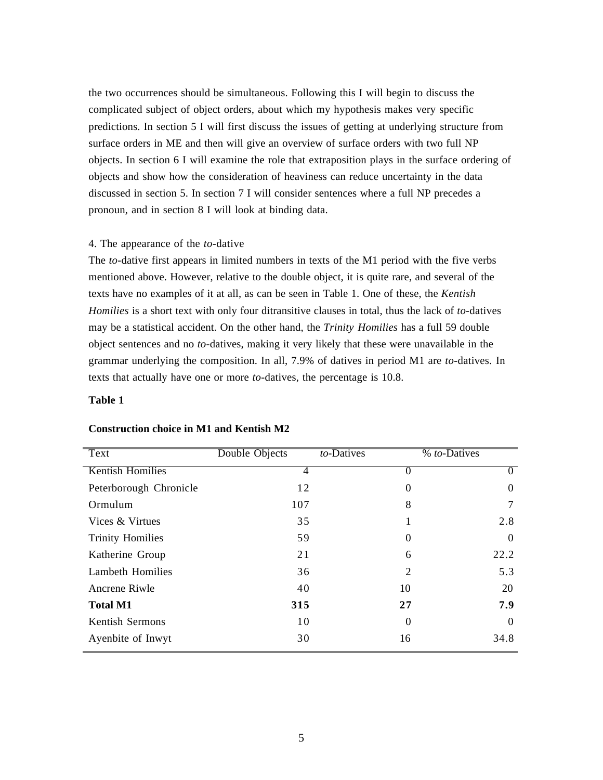the two occurrences should be simultaneous. Following this I will begin to discuss the complicated subject of object orders, about which my hypothesis makes very specific predictions. In section 5 I will first discuss the issues of getting at underlying structure from surface orders in ME and then will give an overview of surface orders with two full NP objects. In section 6 I will examine the role that extraposition plays in the surface ordering of objects and show how the consideration of heaviness can reduce uncertainty in the data discussed in section 5. In section 7 I will consider sentences where a full NP precedes a pronoun, and in section 8 I will look at binding data.

# 4. The appearance of the *to*-dative

The *to-*dative first appears in limited numbers in texts of the M1 period with the five verbs mentioned above. However, relative to the double object, it is quite rare, and several of the texts have no examples of it at all, as can be seen in Table 1. One of these, the *Kentish Homilies* is a short text with only four ditransitive clauses in total, thus the lack of *to-*datives may be a statistical accident. On the other hand, the *Trinity Homilies* has a full 59 double object sentences and no *to-*datives, making it very likely that these were unavailable in the grammar underlying the composition. In all, 7.9% of datives in period M1 are *to-*datives. In texts that actually have one or more *to-*datives, the percentage is 10.8.

# **Table 1**

| Text                    | Double Objects | to-Datives     | $%$ to-Datives |  |
|-------------------------|----------------|----------------|----------------|--|
| <b>Kentish Homilies</b> | 4              | $\theta$       |                |  |
| Peterborough Chronicle  | 12             | $\theta$       | 0              |  |
| Ormulum                 | 107            | 8              |                |  |
| Vices & Virtues         | 35             |                | 2.8            |  |
| <b>Trinity Homilies</b> | 59             | $\Omega$       | $\Omega$       |  |
| Katherine Group         | 21             | 6              | 22.2           |  |
| <b>Lambeth Homilies</b> | 36             | $\overline{c}$ | 5.3            |  |
| Ancrene Riwle           | 40             | 10             | 20             |  |
| <b>Total M1</b>         | 315            | 27             | 7.9            |  |
| Kentish Sermons         | 10             | $\theta$       | $\Omega$       |  |
| Ayenbite of Inwyt       | 30             | 16             | 34.8           |  |

### **Construction choice in M1 and Kentish M2**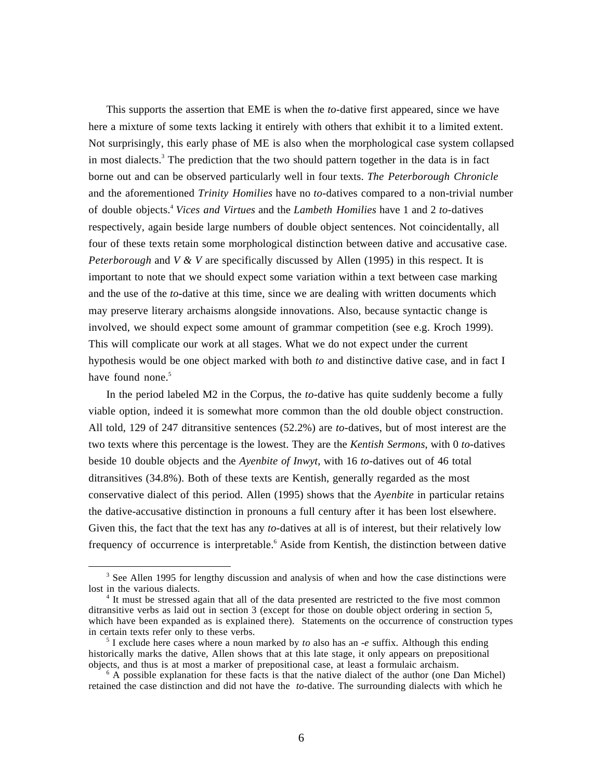This supports the assertion that EME is when the *to-*dative first appeared, since we have here a mixture of some texts lacking it entirely with others that exhibit it to a limited extent. Not surprisingly, this early phase of ME is also when the morphological case system collapsed in most dialects.<sup>3</sup> The prediction that the two should pattern together in the data is in fact borne out and can be observed particularly well in four texts. *The Peterborough Chronicle* and the aforementioned *Trinity Homilies* have no *to-*datives compared to a non-trivial number of double objects.<sup>4</sup> *Vices and Virtues* and the *Lambeth Homilies* have 1 and 2 *to-*datives respectively, again beside large numbers of double object sentences. Not coincidentally, all four of these texts retain some morphological distinction between dative and accusative case. *Peterborough* and *V & V* are specifically discussed by Allen (1995) in this respect. It is important to note that we should expect some variation within a text between case marking and the use of the *to-*dative at this time, since we are dealing with written documents which may preserve literary archaisms alongside innovations. Also, because syntactic change is involved, we should expect some amount of grammar competition (see e.g. Kroch 1999). This will complicate our work at all stages. What we do not expect under the current hypothesis would be one object marked with both *to* and distinctive dative case, and in fact I have found none. $5$ 

In the period labeled M2 in the Corpus, the *to-*dative has quite suddenly become a fully viable option, indeed it is somewhat more common than the old double object construction. All told, 129 of 247 ditransitive sentences (52.2%) are *to-*datives, but of most interest are the two texts where this percentage is the lowest. They are the *Kentish Sermons*, with 0 *to*-datives beside 10 double objects and the *Ayenbite of Inwyt*, with 16 *to-*datives out of 46 total ditransitives (34.8%). Both of these texts are Kentish, generally regarded as the most conservative dialect of this period. Allen (1995) shows that the *Ayenbite* in particular retains the dative-accusative distinction in pronouns a full century after it has been lost elsewhere. Given this, the fact that the text has any *to-*datives at all is of interest, but their relatively low frequency of occurrence is interpretable.<sup>6</sup> Aside from Kentish, the distinction between dative

<sup>&</sup>lt;sup>3</sup> See Allen 1995 for lengthy discussion and analysis of when and how the case distinctions were lost in the various dialects.

<sup>&</sup>lt;sup>4</sup> It must be stressed again that all of the data presented are restricted to the five most common ditransitive verbs as laid out in section 3 (except for those on double object ordering in section 5, which have been expanded as is explained there). Statements on the occurrence of construction types in certain texts refer only to these verbs.

<sup>5</sup> I exclude here cases where a noun marked by *to* also has an -*e* suffix. Although this ending historically marks the dative, Allen shows that at this late stage, it only appears on prepositional objects, and thus is at most a marker of prepositional case, at least a formulaic archaism.

<sup>&</sup>lt;sup>6</sup> A possible explanation for these facts is that the native dialect of the author (one Dan Michel) retained the case distinction and did not have the *to-*dative. The surrounding dialects with which he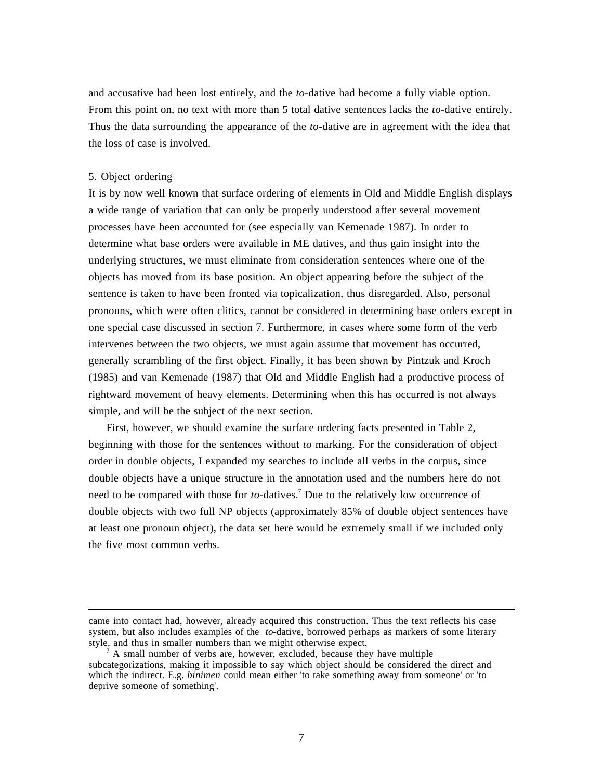and accusative had been lost entirely, and the *to-*dative had become a fully viable option. From this point on, no text with more than 5 total dative sentences lacks the *to-*dative entirely. Thus the data surrounding the appearance of the *to-*dative are in agreement with the idea that the loss of case is involved.

### 5. Object ordering

 $\overline{a}$ 

It is by now well known that surface ordering of elements in Old and Middle English displays a wide range of variation that can only be properly understood after several movement processes have been accounted for (see especially van Kemenade 1987). In order to determine what base orders were available in ME datives, and thus gain insight into the underlying structures, we must eliminate from consideration sentences where one of the objects has moved from its base position. An object appearing before the subject of the sentence is taken to have been fronted via topicalization, thus disregarded. Also, personal pronouns, which were often clitics, cannot be considered in determining base orders except in one special case discussed in section 7. Furthermore, in cases where some form of the verb intervenes between the two objects, we must again assume that movement has occurred, generally scrambling of the first object. Finally, it has been shown by Pintzuk and Kroch (1985) and van Kemenade (1987) that Old and Middle English had a productive process of rightward movement of heavy elements. Determining when this has occurred is not always simple, and will be the subject of the next section.

First, however, we should examine the surface ordering facts presented in Table 2, beginning with those for the sentences without *to* marking. For the consideration of object order in double objects, I expanded my searches to include all verbs in the corpus, since double objects have a unique structure in the annotation used and the numbers here do not need to be compared with those for *to-*datives.<sup>7</sup> Due to the relatively low occurrence of double objects with two full NP objects (approximately 85% of double object sentences have at least one pronoun object), the data set here would be extremely small if we included only the five most common verbs.

came into contact had, however, already acquired this construction. Thus the text reflects his case system, but also includes examples of the *to-*dative, borrowed perhaps as markers of some literary style, and thus in smaller numbers than we might otherwise expect.

<sup>7</sup> A small number of verbs are, however, excluded, because they have multiple subcategorizations, making it impossible to say which object should be considered the direct and which the indirect. E.g. *binimen* could mean either 'to take something away from someone' or 'to deprive someone of something'.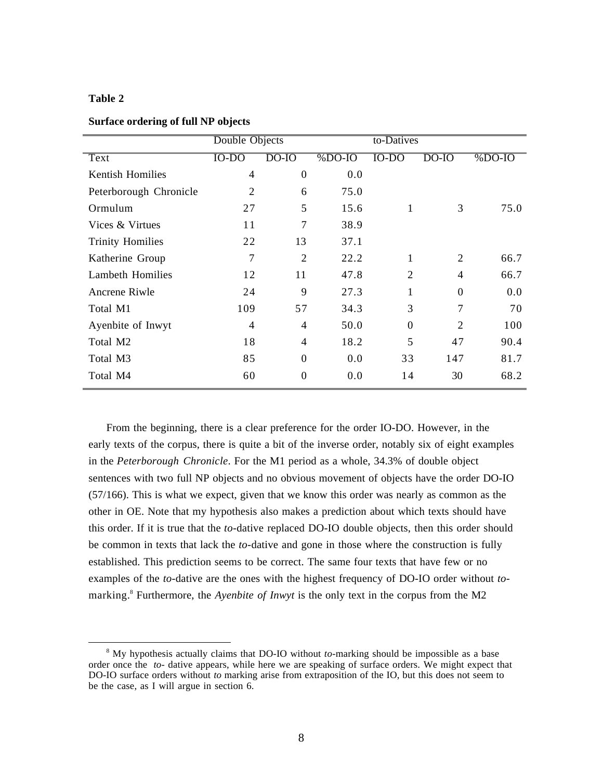### **Table 2**

| Surface ordering of full NP objects |                |
|-------------------------------------|----------------|
|                                     | Double Objects |

|                         | Double Objects |                  |          | to-Datives     |                |          |
|-------------------------|----------------|------------------|----------|----------------|----------------|----------|
| Text                    | $IO-DO$        | $DO$ - $IO$      | $%DO-IO$ | $IO-DO$        | DO-IO          | $%DO-IO$ |
| <b>Kentish Homilies</b> | $\overline{4}$ | $\boldsymbol{0}$ | 0.0      |                |                |          |
| Peterborough Chronicle  | $\overline{2}$ | 6                | 75.0     |                |                |          |
| Ormulum                 | 27             | 5                | 15.6     | 1              | 3              | 75.0     |
| Vices & Virtues         | 11             | 7                | 38.9     |                |                |          |
| <b>Trinity Homilies</b> | 22             | 13               | 37.1     |                |                |          |
| Katherine Group         | 7              | $\overline{2}$   | 22.2     | 1              | 2              | 66.7     |
| <b>Lambeth Homilies</b> | 12             | 11               | 47.8     | $\overline{2}$ | $\overline{4}$ | 66.7     |
| Ancrene Riwle           | 24             | 9                | 27.3     |                | $\Omega$       | 0.0      |
| Total M1                | 109            | 57               | 34.3     | 3              | 7              | 70       |
| Ayenbite of Inwyt       | 4              | $\overline{4}$   | 50.0     | $\Omega$       | $\mathfrak{D}$ | 100      |
| Total M2                | 18             | $\overline{4}$   | 18.2     | 5              | 47             | 90.4     |
| Total M3                | 85             | $\overline{0}$   | 0.0      | 33             | 147            | 81.7     |
| Total M4                | 60             | 0                | 0.0      | 14             | 30             | 68.2     |

From the beginning, there is a clear preference for the order IO-DO. However, in the early texts of the corpus, there is quite a bit of the inverse order, notably six of eight examples in the *Peterborough Chronicle*. For the M1 period as a whole, 34.3% of double object sentences with two full NP objects and no obvious movement of objects have the order DO-IO (57/166). This is what we expect, given that we know this order was nearly as common as the other in OE. Note that my hypothesis also makes a prediction about which texts should have this order. If it is true that the *to-*dative replaced DO-IO double objects, then this order should be common in texts that lack the *to-*dative and gone in those where the construction is fully established. This prediction seems to be correct. The same four texts that have few or no examples of the *to-*dative are the ones with the highest frequency of DO-IO order without *to*marking.<sup>8</sup> Furthermore, the *Ayenbite of Inwyt* is the only text in the corpus from the M2

 $\overline{a}$ <sup>8</sup> My hypothesis actually claims that DO-IO without *to*-marking should be impossible as a base order once the *to-* dative appears, while here we are speaking of surface orders. We might expect that DO-IO surface orders without *to* marking arise from extraposition of the IO, but this does not seem to be the case, as I will argue in section 6.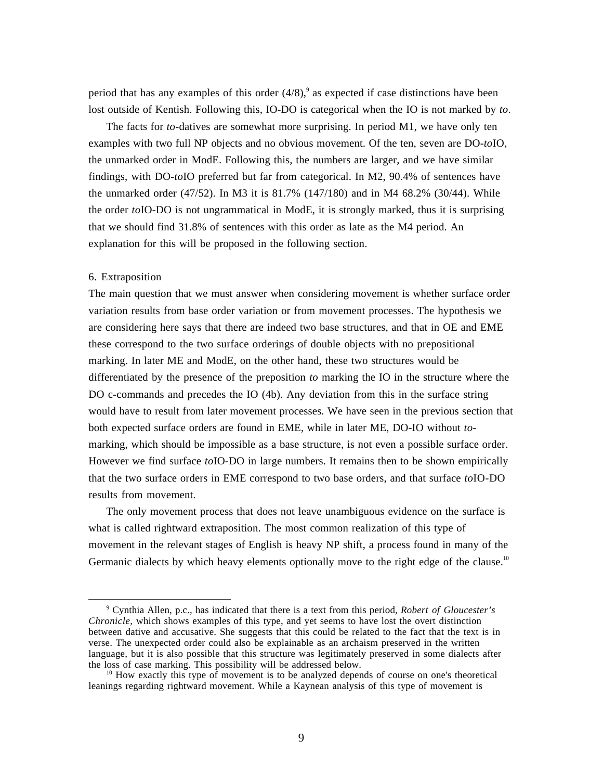period that has any examples of this order  $(4/8)$ , as expected if case distinctions have been lost outside of Kentish. Following this, IO-DO is categorical when the IO is not marked by *to*.

The facts for *to-*datives are somewhat more surprising. In period M1, we have only ten examples with two full NP objects and no obvious movement. Of the ten, seven are DO-*to*IO, the unmarked order in ModE. Following this, the numbers are larger, and we have similar findings, with DO-*to*IO preferred but far from categorical. In M2, 90.4% of sentences have the unmarked order (47/52). In M3 it is 81.7% (147/180) and in M4 68.2% (30/44). While the order *to*IO-DO is not ungrammatical in ModE, it is strongly marked, thus it is surprising that we should find 31.8% of sentences with this order as late as the M4 period. An explanation for this will be proposed in the following section.

#### 6. Extraposition

 $\overline{a}$ 

The main question that we must answer when considering movement is whether surface order variation results from base order variation or from movement processes. The hypothesis we are considering here says that there are indeed two base structures, and that in OE and EME these correspond to the two surface orderings of double objects with no prepositional marking. In later ME and ModE, on the other hand, these two structures would be differentiated by the presence of the preposition *to* marking the IO in the structure where the DO c-commands and precedes the IO (4b). Any deviation from this in the surface string would have to result from later movement processes. We have seen in the previous section that both expected surface orders are found in EME, while in later ME, DO-IO without *to*marking, which should be impossible as a base structure, is not even a possible surface order. However we find surface *to*IO-DO in large numbers. It remains then to be shown empirically that the two surface orders in EME correspond to two base orders, and that surface *to*IO-DO results from movement.

The only movement process that does not leave unambiguous evidence on the surface is what is called rightward extraposition. The most common realization of this type of movement in the relevant stages of English is heavy NP shift, a process found in many of the Germanic dialects by which heavy elements optionally move to the right edge of the clause.<sup>10</sup>

<sup>9</sup> Cynthia Allen, p.c., has indicated that there is a text from this period, *Robert of Gloucester's Chronicle,* which shows examples of this type, and yet seems to have lost the overt distinction between dative and accusative. She suggests that this could be related to the fact that the text is in verse. The unexpected order could also be explainable as an archaism preserved in the written language, but it is also possible that this structure was legitimately preserved in some dialects after the loss of case marking. This possibility will be addressed below.

<sup>&</sup>lt;sup>10</sup> How exactly this type of movement is to be analyzed depends of course on one's theoretical leanings regarding rightward movement. While a Kaynean analysis of this type of movement is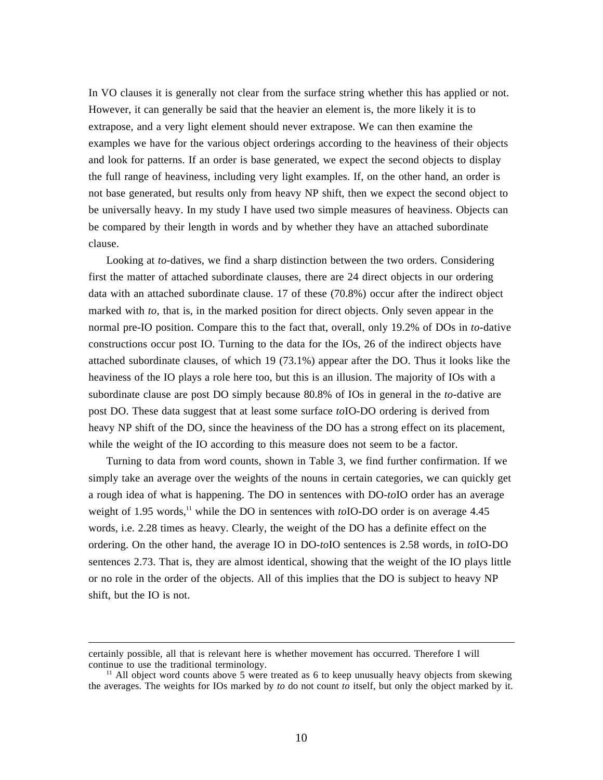In VO clauses it is generally not clear from the surface string whether this has applied or not. However, it can generally be said that the heavier an element is, the more likely it is to extrapose, and a very light element should never extrapose. We can then examine the examples we have for the various object orderings according to the heaviness of their objects and look for patterns. If an order is base generated, we expect the second objects to display the full range of heaviness, including very light examples. If, on the other hand, an order is not base generated, but results only from heavy NP shift, then we expect the second object to be universally heavy. In my study I have used two simple measures of heaviness. Objects can be compared by their length in words and by whether they have an attached subordinate clause.

Looking at *to-*datives, we find a sharp distinction between the two orders. Considering first the matter of attached subordinate clauses, there are 24 direct objects in our ordering data with an attached subordinate clause. 17 of these (70.8%) occur after the indirect object marked with *to*, that is, in the marked position for direct objects. Only seven appear in the normal pre-IO position. Compare this to the fact that, overall, only 19.2% of DOs in *to-*dative constructions occur post IO. Turning to the data for the IOs, 26 of the indirect objects have attached subordinate clauses, of which 19 (73.1%) appear after the DO. Thus it looks like the heaviness of the IO plays a role here too, but this is an illusion. The majority of IOs with a subordinate clause are post DO simply because 80.8% of IOs in general in the *to-*dative are post DO. These data suggest that at least some surface *to*IO-DO ordering is derived from heavy NP shift of the DO, since the heaviness of the DO has a strong effect on its placement, while the weight of the IO according to this measure does not seem to be a factor.

Turning to data from word counts, shown in Table 3, we find further confirmation. If we simply take an average over the weights of the nouns in certain categories, we can quickly get a rough idea of what is happening. The DO in sentences with DO-*to*IO order has an average weight of 1.95 words,<sup>11</sup> while the DO in sentences with *to*IO-DO order is on average 4.45 words, i.e. 2.28 times as heavy. Clearly, the weight of the DO has a definite effect on the ordering. On the other hand, the average IO in DO-*to*IO sentences is 2.58 words, in *to*IO-DO sentences 2.73. That is, they are almost identical, showing that the weight of the IO plays little or no role in the order of the objects. All of this implies that the DO is subject to heavy NP shift, but the IO is not.

certainly possible, all that is relevant here is whether movement has occurred. Therefore I will continue to use the traditional terminology.

<sup>&</sup>lt;sup>11</sup> All object word counts above 5 were treated as 6 to keep unusually heavy objects from skewing the averages. The weights for IOs marked by *to* do not count *to* itself, but only the object marked by it.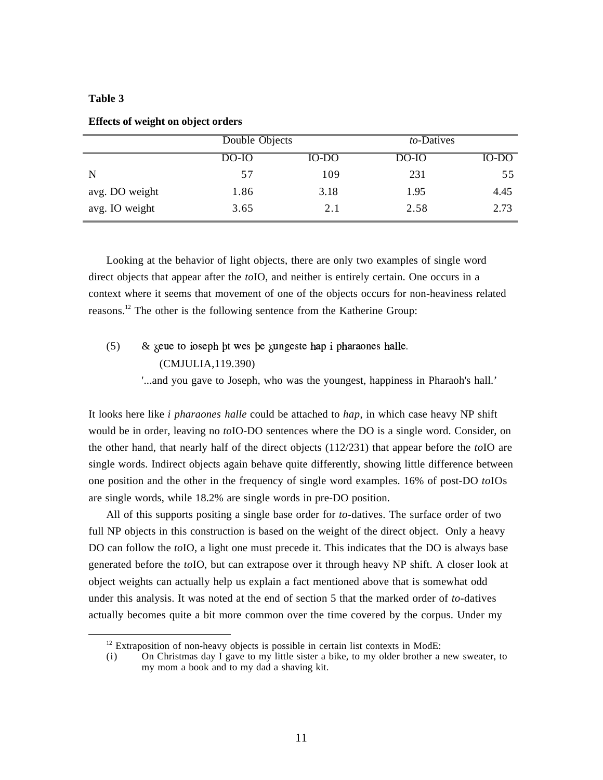# **Table 3**

 $\overline{a}$ 

|                |       | Double Objects |       | to-Datives |
|----------------|-------|----------------|-------|------------|
|                | DO-IO | IO-DO          | DO-IO | IO-DO      |
| N              | 57    | 109            | 231   | 55         |
| avg. DO weight | 1.86  | 3.18           | 1.95  | 4.45       |
| avg. IO weight | 3.65  | 2.1            | 2.58  | 2.73       |

**Effects of weight on object orders**

Looking at the behavior of light objects, there are only two examples of single word direct objects that appear after the *to*IO, and neither is entirely certain. One occurs in a context where it seems that movement of one of the objects occurs for non-heaviness related reasons.<sup>12</sup> The other is the following sentence from the Katherine Group:

(5) &  $\&$  k  $\&$  to ioseph bt wes be zungeste hap i pharaones halle. (CMJULIA,119.390) '...and you gave to Joseph, who was the youngest, happiness in Pharaoh's hall.'

It looks here like *i pharaones halle* could be attached to *hap*, in which case heavy NP shift would be in order, leaving no *to*IO-DO sentences where the DO is a single word. Consider, on the other hand, that nearly half of the direct objects (112/231) that appear before the *to*IO are single words. Indirect objects again behave quite differently, showing little difference between one position and the other in the frequency of single word examples. 16% of post-DO *to*IOs are single words, while 18.2% are single words in pre-DO position.

All of this supports positing a single base order for *to-*datives. The surface order of two full NP objects in this construction is based on the weight of the direct object. Only a heavy DO can follow the *to*IO, a light one must precede it. This indicates that the DO is always base generated before the *to*IO, but can extrapose over it through heavy NP shift. A closer look at object weights can actually help us explain a fact mentioned above that is somewhat odd under this analysis. It was noted at the end of section 5 that the marked order of *to-*datives actually becomes quite a bit more common over the time covered by the corpus. Under my

<sup>&</sup>lt;sup>12</sup> Extraposition of non-heavy objects is possible in certain list contexts in ModE:

<sup>(</sup>i) On Christmas day I gave to my little sister a bike, to my older brother a new sweater, to my mom a book and to my dad a shaving kit.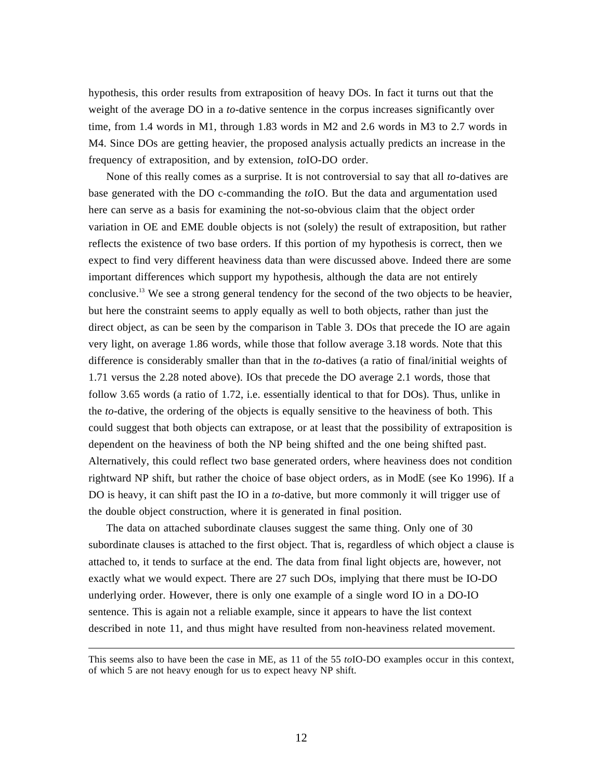hypothesis, this order results from extraposition of heavy DOs. In fact it turns out that the weight of the average DO in a *to-*dative sentence in the corpus increases significantly over time, from 1.4 words in M1, through 1.83 words in M2 and 2.6 words in M3 to 2.7 words in M4. Since DOs are getting heavier, the proposed analysis actually predicts an increase in the frequency of extraposition, and by extension, *to*IO-DO order.

None of this really comes as a surprise. It is not controversial to say that all *to-*datives are base generated with the DO c-commanding the *to*IO. But the data and argumentation used here can serve as a basis for examining the not-so-obvious claim that the object order variation in OE and EME double objects is not (solely) the result of extraposition, but rather reflects the existence of two base orders. If this portion of my hypothesis is correct, then we expect to find very different heaviness data than were discussed above. Indeed there are some important differences which support my hypothesis, although the data are not entirely conclusive.<sup>13</sup> We see a strong general tendency for the second of the two objects to be heavier, but here the constraint seems to apply equally as well to both objects, rather than just the direct object, as can be seen by the comparison in Table 3. DOs that precede the IO are again very light, on average 1.86 words, while those that follow average 3.18 words. Note that this difference is considerably smaller than that in the *to-*datives (a ratio of final/initial weights of 1.71 versus the 2.28 noted above). IOs that precede the DO average 2.1 words, those that follow 3.65 words (a ratio of 1.72, i.e. essentially identical to that for DOs). Thus, unlike in the *to*-dative, the ordering of the objects is equally sensitive to the heaviness of both. This could suggest that both objects can extrapose, or at least that the possibility of extraposition is dependent on the heaviness of both the NP being shifted and the one being shifted past. Alternatively, this could reflect two base generated orders, where heaviness does not condition rightward NP shift, but rather the choice of base object orders, as in ModE (see Ko 1996). If a DO is heavy, it can shift past the IO in a *to-*dative, but more commonly it will trigger use of the double object construction, where it is generated in final position.

The data on attached subordinate clauses suggest the same thing. Only one of 30 subordinate clauses is attached to the first object. That is, regardless of which object a clause is attached to, it tends to surface at the end. The data from final light objects are, however, not exactly what we would expect. There are 27 such DOs, implying that there must be IO-DO underlying order. However, there is only one example of a single word IO in a DO-IO sentence. This is again not a reliable example, since it appears to have the list context described in note 11, and thus might have resulted from non-heaviness related movement.

This seems also to have been the case in ME, as 11 of the 55 *to*IO-DO examples occur in this context, of which 5 are not heavy enough for us to expect heavy NP shift.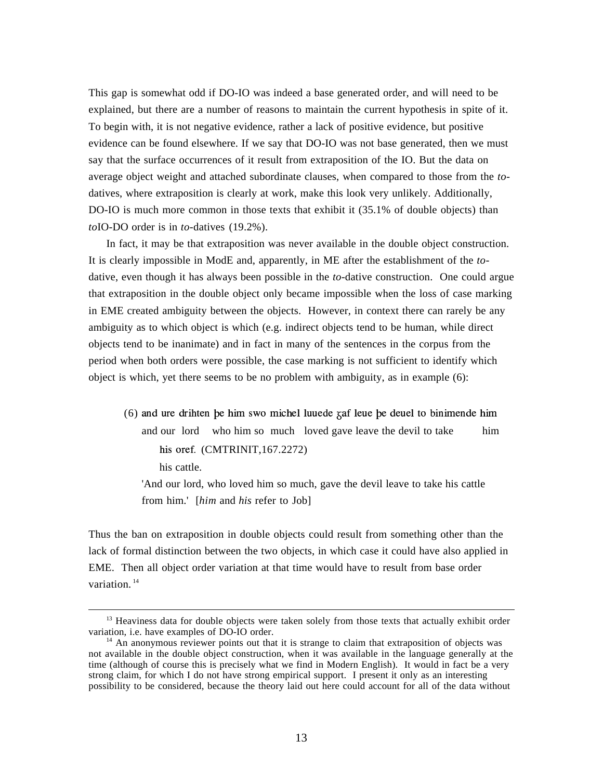This gap is somewhat odd if DO-IO was indeed a base generated order, and will need to be explained, but there are a number of reasons to maintain the current hypothesis in spite of it. To begin with, it is not negative evidence, rather a lack of positive evidence, but positive evidence can be found elsewhere. If we say that DO-IO was not base generated, then we must say that the surface occurrences of it result from extraposition of the IO. But the data on average object weight and attached subordinate clauses, when compared to those from the *to*datives, where extraposition is clearly at work, make this look very unlikely. Additionally, DO-IO is much more common in those texts that exhibit it (35.1% of double objects) than *to*IO-DO order is in *to-*datives (19.2%).

In fact, it may be that extraposition was never available in the double object construction. It is clearly impossible in ModE and, apparently, in ME after the establishment of the *to*dative, even though it has always been possible in the *to*-dative construction. One could argue that extraposition in the double object only became impossible when the loss of case marking in EME created ambiguity between the objects. However, in context there can rarely be any ambiguity as to which object is which (e.g. indirect objects tend to be human, while direct objects tend to be inanimate) and in fact in many of the sentences in the corpus from the period when both orders were possible, the case marking is not sufficient to identify which object is which, yet there seems to be no problem with ambiguity, as in example (6):

 $(6)$  and ure drihten be him swo michel luuede  $\bar{\chi}$  af leue be deuel to binimende him and our lord who him so much loved gave leave the devil to take him his oref. (CMTRINIT,167.2272) his cattle.

'And our lord, who loved him so much, gave the devil leave to take his cattle from him.' [*him* and *his* refer to Job]

Thus the ban on extraposition in double objects could result from something other than the lack of formal distinction between the two objects, in which case it could have also applied in EME. Then all object order variation at that time would have to result from base order variation.<sup>14</sup>

<sup>&</sup>lt;sup>13</sup> Heaviness data for double objects were taken solely from those texts that actually exhibit order variation, i.e. have examples of DO-IO order.

<sup>&</sup>lt;sup>14</sup> An anonymous reviewer points out that it is strange to claim that extraposition of objects was not available in the double object construction, when it was available in the language generally at the time (although of course this is precisely what we find in Modern English). It would in fact be a very strong claim, for which I do not have strong empirical support. I present it only as an interesting possibility to be considered, because the theory laid out here could account for all of the data without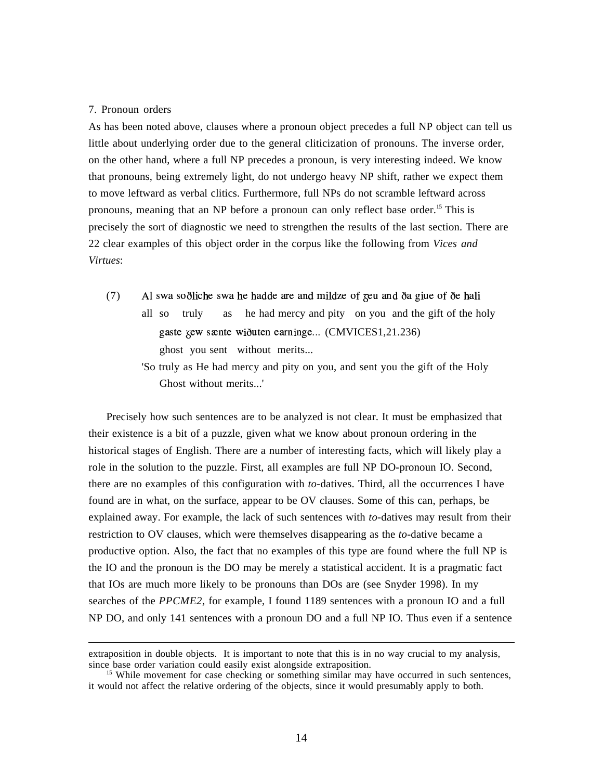#### 7. Pronoun orders

 $\overline{a}$ 

As has been noted above, clauses where a pronoun object precedes a full NP object can tell us little about underlying order due to the general cliticization of pronouns. The inverse order, on the other hand, where a full NP precedes a pronoun, is very interesting indeed. We know that pronouns, being extremely light, do not undergo heavy NP shift, rather we expect them to move leftward as verbal clitics. Furthermore, full NPs do not scramble leftward across pronouns, meaning that an NP before a pronoun can only reflect base order.<sup>15</sup> This is precisely the sort of diagnostic we need to strengthen the results of the last section. There are 22 clear examples of this object order in the corpus like the following from *Vices and Virtues*:

- (7) Al swa so diche swa he hadde are and mildze of  $\zeta$ eu and da giue of de hali all so truly as he had mercy and pity on you and the gift of the holy gaste zew sænte wiðuten earninge... (CMVICES1,21.236) ghost you sent without merits...
	- 'So truly as He had mercy and pity on you, and sent you the gift of the Holy Ghost without merits...'

Precisely how such sentences are to be analyzed is not clear. It must be emphasized that their existence is a bit of a puzzle, given what we know about pronoun ordering in the historical stages of English. There are a number of interesting facts, which will likely play a role in the solution to the puzzle. First, all examples are full NP DO-pronoun IO. Second, there are no examples of this configuration with *to-*datives. Third, all the occurrences I have found are in what, on the surface, appear to be OV clauses. Some of this can, perhaps, be explained away. For example, the lack of such sentences with *to-*datives may result from their restriction to OV clauses, which were themselves disappearing as the *to-*dative became a productive option. Also, the fact that no examples of this type are found where the full NP is the IO and the pronoun is the DO may be merely a statistical accident. It is a pragmatic fact that IOs are much more likely to be pronouns than DOs are (see Snyder 1998). In my searches of the *PPCME2*, for example, I found 1189 sentences with a pronoun IO and a full NP DO, and only 141 sentences with a pronoun DO and a full NP IO. Thus even if a sentence

extraposition in double objects. It is important to note that this is in no way crucial to my analysis, since base order variation could easily exist alongside extraposition.

<sup>&</sup>lt;sup>15</sup> While movement for case checking or something similar may have occurred in such sentences, it would not affect the relative ordering of the objects, since it would presumably apply to both.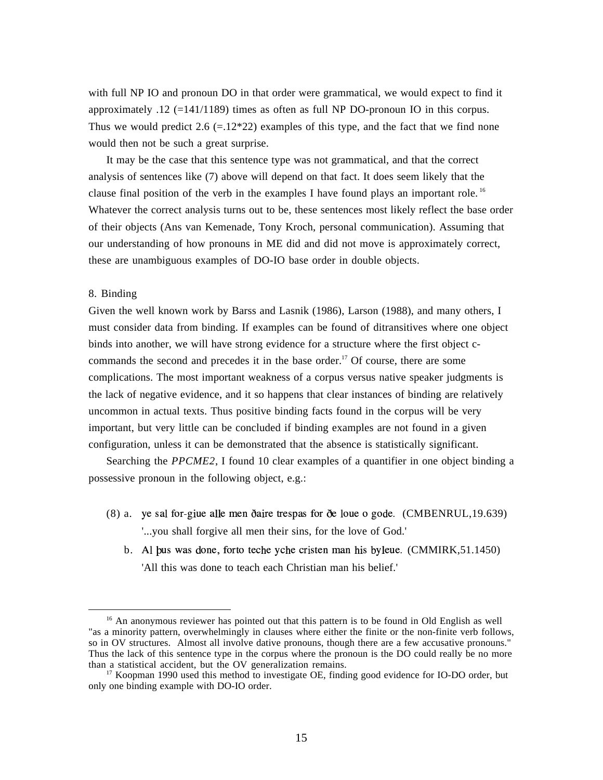with full NP IO and pronoun DO in that order were grammatical, we would expect to find it approximately  $.12$  (=141/1189) times as often as full NP DO-pronoun IO in this corpus. Thus we would predict 2.6 (=.12\*22) examples of this type, and the fact that we find none would then not be such a great surprise.

It may be the case that this sentence type was not grammatical, and that the correct analysis of sentences like (7) above will depend on that fact. It does seem likely that the clause final position of the verb in the examples I have found plays an important role.<sup>16</sup> Whatever the correct analysis turns out to be, these sentences most likely reflect the base order of their objects (Ans van Kemenade, Tony Kroch, personal communication). Assuming that our understanding of how pronouns in ME did and did not move is approximately correct, these are unambiguous examples of DO-IO base order in double objects.

#### 8. Binding

 $\overline{a}$ 

Given the well known work by Barss and Lasnik (1986), Larson (1988), and many others, I must consider data from binding. If examples can be found of ditransitives where one object binds into another, we will have strong evidence for a structure where the first object ccommands the second and precedes it in the base order.<sup>17</sup> Of course, there are some complications. The most important weakness of a corpus versus native speaker judgments is the lack of negative evidence, and it so happens that clear instances of binding are relatively uncommon in actual texts. Thus positive binding facts found in the corpus will be very important, but very little can be concluded if binding examples are not found in a given configuration, unless it can be demonstrated that the absence is statistically significant.

Searching the *PPCME2*, I found 10 clear examples of a quantifier in one object binding a possessive pronoun in the following object, e.g.:

- $(8)$  a. ye sal for-giue alle men daire trespas for de loue o gode.  $(CMBENRUL,19.639)$ '...you shall forgive all men their sins, for the love of God.'
	- b. Al bus was done, forto teche yche cristen man his byleue. (CMMIRK,51.1450) 'All this was done to teach each Christian man his belief.'

<sup>&</sup>lt;sup>16</sup> An anonymous reviewer has pointed out that this pattern is to be found in Old English as well "as a minority pattern, overwhelmingly in clauses where either the finite or the non-finite verb follows, so in OV structures. Almost all involve dative pronouns, though there are a few accusative pronouns." Thus the lack of this sentence type in the corpus where the pronoun is the DO could really be no more than a statistical accident, but the OV generalization remains.

<sup>&</sup>lt;sup>17</sup> Koopman 1990 used this method to investigate OE, finding good evidence for IO-DO order, but only one binding example with DO-IO order.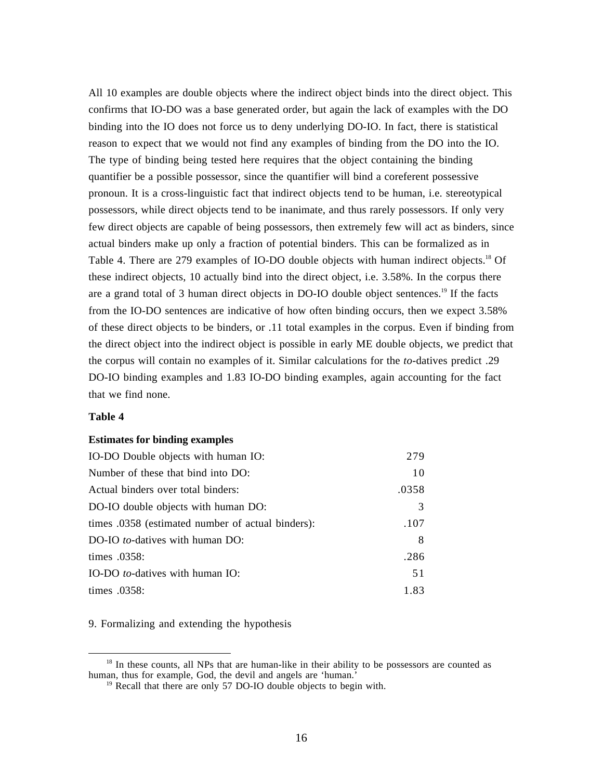All 10 examples are double objects where the indirect object binds into the direct object. This confirms that IO-DO was a base generated order, but again the lack of examples with the DO binding into the IO does not force us to deny underlying DO-IO. In fact, there is statistical reason to expect that we would not find any examples of binding from the DO into the IO. The type of binding being tested here requires that the object containing the binding quantifier be a possible possessor, since the quantifier will bind a coreferent possessive pronoun. It is a cross-linguistic fact that indirect objects tend to be human, i.e. stereotypical possessors, while direct objects tend to be inanimate, and thus rarely possessors. If only very few direct objects are capable of being possessors, then extremely few will act as binders, since actual binders make up only a fraction of potential binders. This can be formalized as in Table 4. There are 279 examples of IO-DO double objects with human indirect objects.<sup>18</sup> Of these indirect objects, 10 actually bind into the direct object, i.e. 3.58%. In the corpus there are a grand total of 3 human direct objects in DO-IO double object sentences.<sup>19</sup> If the facts from the IO-DO sentences are indicative of how often binding occurs, then we expect 3.58% of these direct objects to be binders, or .11 total examples in the corpus. Even if binding from the direct object into the indirect object is possible in early ME double objects, we predict that the corpus will contain no examples of it. Similar calculations for the *to-*datives predict .29 DO-IO binding examples and 1.83 IO-DO binding examples, again accounting for the fact that we find none.

# **Table 4**

 $\overline{a}$ 

#### **Estimates for binding examples**

| IO-DO Double objects with human IO:               | 279   |
|---------------------------------------------------|-------|
| Number of these that bind into DO:                | 10    |
| Actual binders over total binders:                | .0358 |
| DO-IO double objects with human DO:               | 3     |
| times .0358 (estimated number of actual binders): | .107  |
| DO-IO to-datives with human DO:                   | 8     |
| times .0358:                                      | .286  |
| IO-DO <i>to</i> -datives with human IO:           | 51    |
| times .0358:                                      | 1.83  |

9. Formalizing and extending the hypothesis

<sup>&</sup>lt;sup>18</sup> In these counts, all NPs that are human-like in their ability to be possessors are counted as human, thus for example, God, the devil and angels are 'human.<sup>3</sup>

<sup>&</sup>lt;sup>19</sup> Recall that there are only 57 DO-IO double objects to begin with.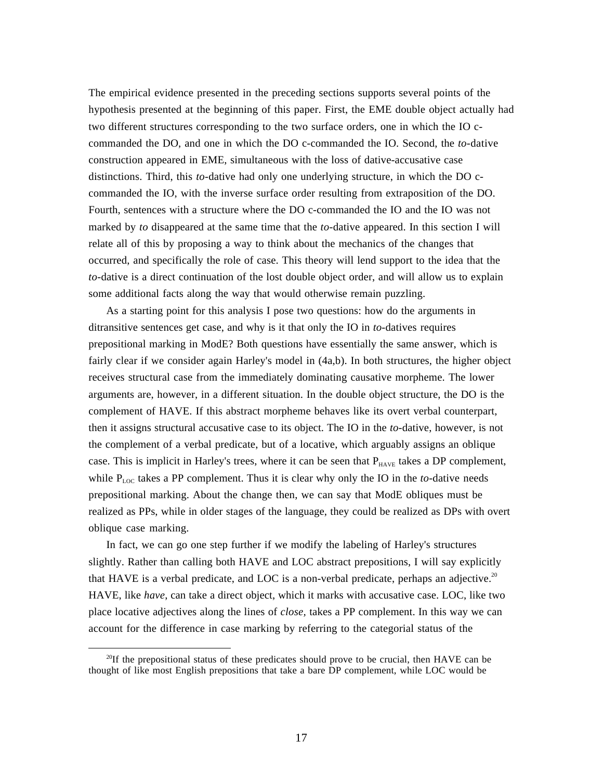The empirical evidence presented in the preceding sections supports several points of the hypothesis presented at the beginning of this paper. First, the EME double object actually had two different structures corresponding to the two surface orders, one in which the IO ccommanded the DO, and one in which the DO c-commanded the IO. Second, the *to-*dative construction appeared in EME, simultaneous with the loss of dative-accusative case distinctions. Third, this *to-*dative had only one underlying structure, in which the DO ccommanded the IO, with the inverse surface order resulting from extraposition of the DO. Fourth, sentences with a structure where the DO c-commanded the IO and the IO was not marked by *to* disappeared at the same time that the *to-*dative appeared. In this section I will relate all of this by proposing a way to think about the mechanics of the changes that occurred, and specifically the role of case. This theory will lend support to the idea that the *to-*dative is a direct continuation of the lost double object order, and will allow us to explain some additional facts along the way that would otherwise remain puzzling.

As a starting point for this analysis I pose two questions: how do the arguments in ditransitive sentences get case, and why is it that only the IO in *to-*datives requires prepositional marking in ModE? Both questions have essentially the same answer, which is fairly clear if we consider again Harley's model in (4a,b). In both structures, the higher object receives structural case from the immediately dominating causative morpheme. The lower arguments are, however, in a different situation. In the double object structure, the DO is the complement of HAVE. If this abstract morpheme behaves like its overt verbal counterpart, then it assigns structural accusative case to its object. The IO in the *to-*dative, however, is not the complement of a verbal predicate, but of a locative, which arguably assigns an oblique case. This is implicit in Harley's trees, where it can be seen that  $P_{HAVE}$  takes a DP complement, while P<sub>LOC</sub> takes a PP complement. Thus it is clear why only the IO in the *to*-dative needs prepositional marking. About the change then, we can say that ModE obliques must be realized as PPs, while in older stages of the language, they could be realized as DPs with overt oblique case marking.

In fact, we can go one step further if we modify the labeling of Harley's structures slightly. Rather than calling both HAVE and LOC abstract prepositions, I will say explicitly that HAVE is a verbal predicate, and LOC is a non-verbal predicate, perhaps an adjective.<sup>20</sup> HAVE, like *have*, can take a direct object, which it marks with accusative case. LOC, like two place locative adjectives along the lines of *close,* takes a PP complement. In this way we can account for the difference in case marking by referring to the categorial status of the

<sup>&</sup>lt;sup>20</sup>If the prepositional status of these predicates should prove to be crucial, then HAVE can be thought of like most English prepositions that take a bare DP complement, while LOC would be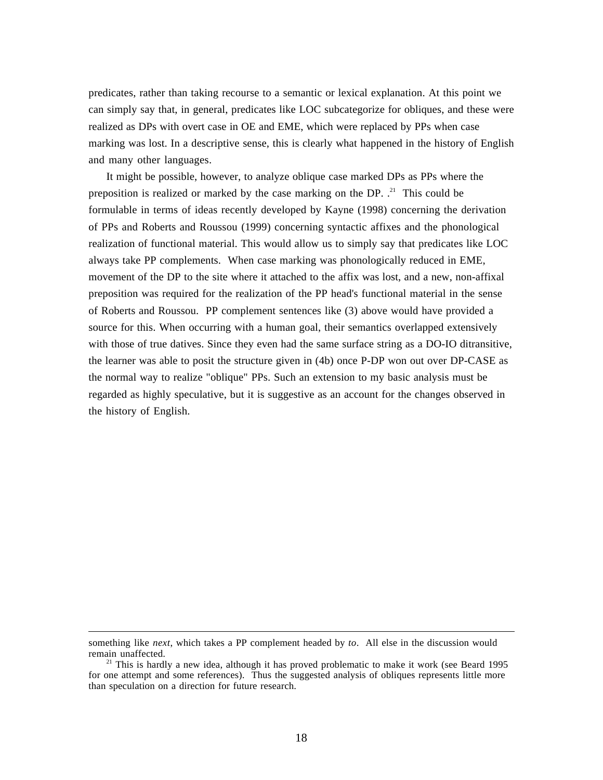predicates, rather than taking recourse to a semantic or lexical explanation. At this point we can simply say that, in general, predicates like LOC subcategorize for obliques, and these were realized as DPs with overt case in OE and EME, which were replaced by PPs when case marking was lost. In a descriptive sense, this is clearly what happened in the history of English and many other languages.

It might be possible, however, to analyze oblique case marked DPs as PPs where the preposition is realized or marked by the case marking on the DP.  $.^{21}$  This could be formulable in terms of ideas recently developed by Kayne (1998) concerning the derivation of PPs and Roberts and Roussou (1999) concerning syntactic affixes and the phonological realization of functional material. This would allow us to simply say that predicates like LOC always take PP complements. When case marking was phonologically reduced in EME, movement of the DP to the site where it attached to the affix was lost, and a new, non-affixal preposition was required for the realization of the PP head's functional material in the sense of Roberts and Roussou. PP complement sentences like (3) above would have provided a source for this. When occurring with a human goal, their semantics overlapped extensively with those of true datives. Since they even had the same surface string as a DO-IO ditransitive, the learner was able to posit the structure given in (4b) once P-DP won out over DP-CASE as the normal way to realize "oblique" PPs. Such an extension to my basic analysis must be regarded as highly speculative, but it is suggestive as an account for the changes observed in the history of English.

something like *next*, which takes a PP complement headed by *to*. All else in the discussion would remain unaffected.

<sup>&</sup>lt;sup>21</sup> This is hardly a new idea, although it has proved problematic to make it work (see Beard 1995 for one attempt and some references). Thus the suggested analysis of obliques represents little more than speculation on a direction for future research.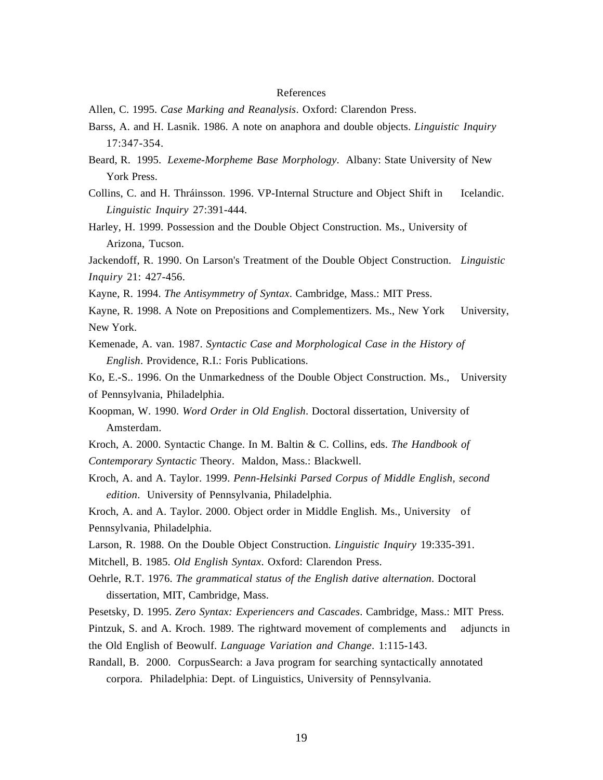#### References

- Allen, C. 1995. *Case Marking and Reanalysis*. Oxford: Clarendon Press.
- Barss, A. and H. Lasnik. 1986. A note on anaphora and double objects. *Linguistic Inquiry* 17:347-354.
- Beard, R. 1995. *Lexeme-Morpheme Base Morphology*. Albany: State University of New York Press.
- Collins, C. and H. Thráinsson. 1996. VP-Internal Structure and Object Shift in Icelandic. *Linguistic Inquiry* 27:391-444.
- Harley, H. 1999. Possession and the Double Object Construction. Ms., University of Arizona, Tucson.

Jackendoff, R. 1990. On Larson's Treatment of the Double Object Construction. *Linguistic Inquiry* 21: 427-456.

- Kayne, R. 1994. *The Antisymmetry of Syntax*. Cambridge, Mass.: MIT Press.
- Kayne, R. 1998. A Note on Prepositions and Complementizers. Ms., New York University, New York.
- Kemenade, A. van. 1987. *Syntactic Case and Morphological Case in the History of English*. Providence, R.I.: Foris Publications.

Ko, E.-S.. 1996. On the Unmarkedness of the Double Object Construction. Ms., University of Pennsylvania, Philadelphia.

- Koopman, W. 1990. *Word Order in Old English*. Doctoral dissertation, University of Amsterdam.
- Kroch, A. 2000. Syntactic Change. In M. Baltin & C. Collins, eds. *The Handbook of Contemporary Syntactic* Theory. Maldon, Mass.: Blackwell.
- Kroch, A. and A. Taylor. 1999. *Penn-Helsinki Parsed Corpus of Middle English, second edition*. University of Pennsylvania, Philadelphia.

Kroch, A. and A. Taylor. 2000. Object order in Middle English. Ms., University of Pennsylvania, Philadelphia.

Larson, R. 1988. On the Double Object Construction. *Linguistic Inquiry* 19:335-391.

Mitchell, B. 1985. *Old English Syntax*. Oxford: Clarendon Press.

Oehrle, R.T. 1976. *The grammatical status of the English dative alternation*. Doctoral dissertation, MIT, Cambridge, Mass.

Pesetsky, D. 1995. *Zero Syntax: Experiencers and Cascades*. Cambridge, Mass.: MIT Press. Pintzuk, S. and A. Kroch. 1989. The rightward movement of complements and adjuncts in the Old English of Beowulf. *Language Variation and Change*. 1:115-143.

Randall, B. 2000. CorpusSearch: a Java program for searching syntactically annotated corpora. Philadelphia: Dept. of Linguistics, University of Pennsylvania.